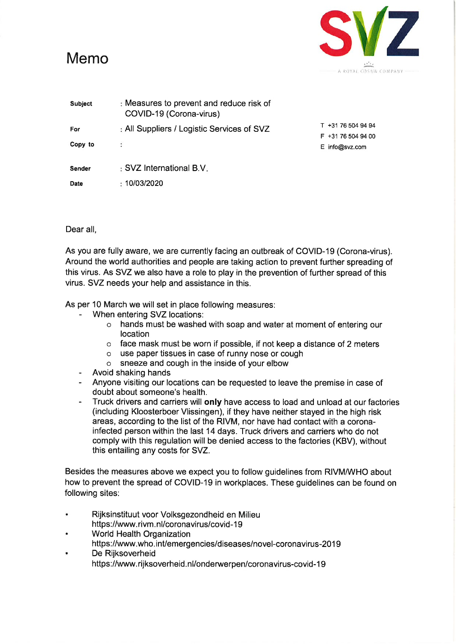

| <b>Subject</b> | : Measures to prevent and reduce risk of<br>COVID-19 (Corona-virus) |                                          |
|----------------|---------------------------------------------------------------------|------------------------------------------|
| For            | : All Suppliers / Logistic Services of SVZ                          | T +31 76 504 94 94<br>F +31 76 504 94 00 |
| Copy to        |                                                                     | E info@svz.com                           |
| Sender         | : SVZ International B.V.                                            |                                          |
| Date           | $\pm 10/03/2020$                                                    |                                          |

Dear all,

As you are fully aware, we are currently facing an outbreak of COVID-19 (Corona-virus). Around the world authorities and people are taking action to prevent further spreading of this virus. As SVZ we also have a role to play in the prevention of further spread of this virus. SVZ needs your help and assistance in this.

As per 10 March we will set in place following measures:

- When entering SVZ locations:
	- o hands must be washed with soap and water at moment of entering our location
	- $\circ$  face mask must be worn if possible, if not keep a distance of 2 meters
	- o use paper tissues in case of runny nose or cough
	- o sneeze and cough in the inside of your elbow
- Avoid shaking hands
- Anyone visiting our locations can be requested to leave the premise in case of doubt about someone's health.
- Truck drivers and carriers will only have access to load and unload at our factories (including Kloosterboer Vlissingen), if they have neither stayed in the high risk areas, according to the list of the RIVM, nor have had contact with a coronainfected person within the last 14 days. Truck drivers and carriers who do not comply with this regulation will be denied access to the factories (KBV), without this entailing any costs for SVZ.

Besides the measures above we expect you to follow guidelines from RIVM/WHO about how to prevent the spread of COVID-19 in workplaces. These guidelines can be found on following sites:

- $\bullet$ Rijksinstituut voor Volksgezondheid en Milieu https://www.rivm.nl/coronavirus/covid-19
- World Health Organization  $\bullet$
- https://www.who.int/emergencies/diseases/novel-coronavirus-2019
- De Rijksoverheid https://www.rijksoverheid.nl/onderwerpen/coronavirus-covid-19